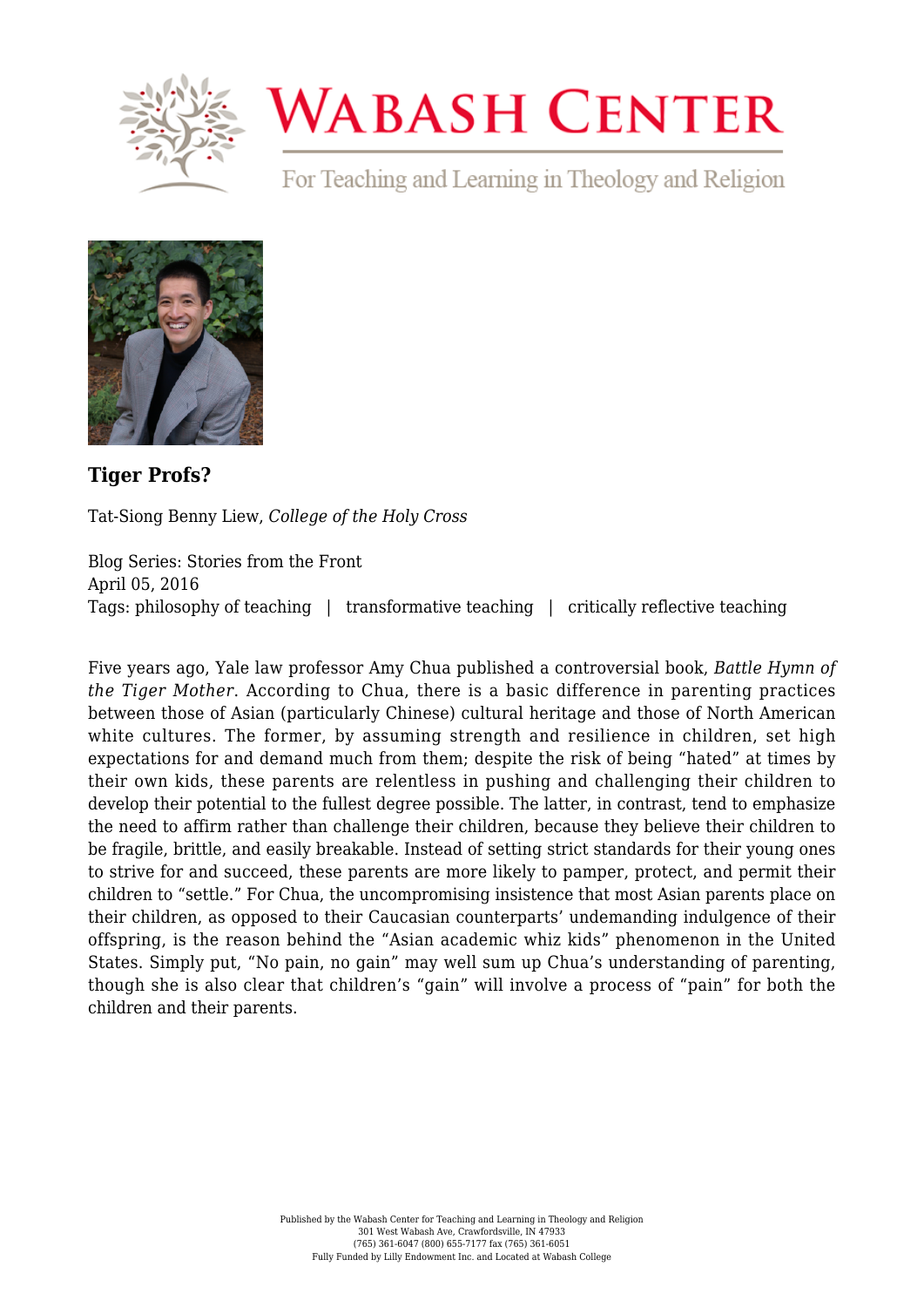

## **WABASH CENTER**

For Teaching and Learning in Theology and Religion



**[Tiger Profs?](https://www.wabashcenter.wabash.edu/2016/04/tiger-profs/)**

Tat-Siong Benny Liew, *College of the Holy Cross*

Blog Series: Stories from the Front April 05, 2016 Tags: philosophy of teaching | transformative teaching | critically reflective teaching

Five years ago, Yale law professor Amy Chua published a controversial book, *Battle Hymn of the Tiger Mother*. According to Chua, there is a basic difference in parenting practices between those of Asian (particularly Chinese) cultural heritage and those of North American white cultures. The former, by assuming strength and resilience in children, set high expectations for and demand much from them; despite the risk of being "hated" at times by their own kids, these parents are relentless in pushing and challenging their children to develop their potential to the fullest degree possible. The latter, in contrast, tend to emphasize the need to affirm rather than challenge their children, because they believe their children to be fragile, brittle, and easily breakable. Instead of setting strict standards for their young ones to strive for and succeed, these parents are more likely to pamper, protect, and permit their children to "settle." For Chua, the uncompromising insistence that most Asian parents place on their children, as opposed to their Caucasian counterparts' undemanding indulgence of their offspring, is the reason behind the "Asian academic whiz kids" phenomenon in the United States. Simply put, "No pain, no gain" may well sum up Chua's understanding of parenting, though she is also clear that children's "gain" will involve a process of "pain" for both the children and their parents.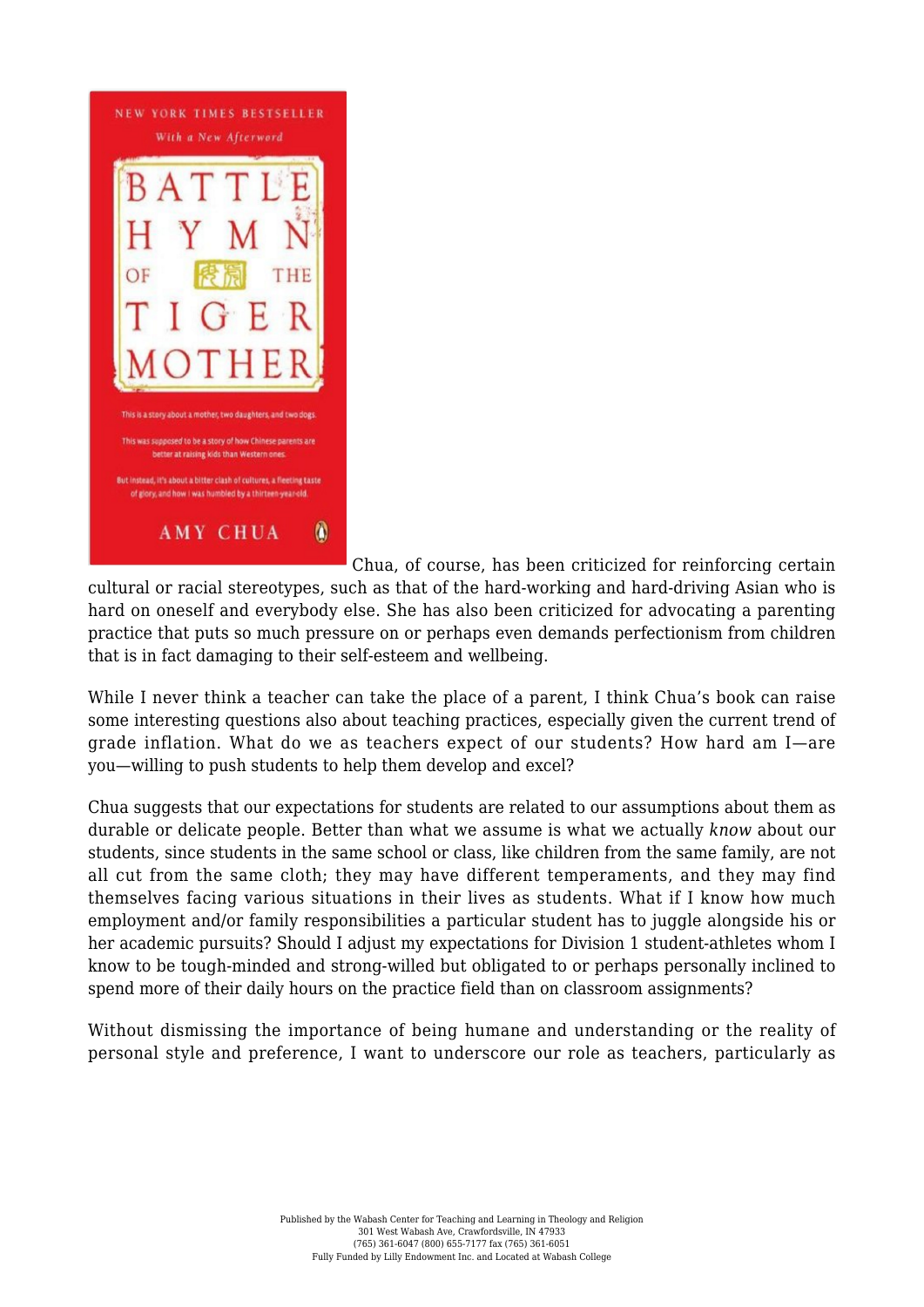

Chua, of course, has been criticized for reinforcing certain

cultural or racial stereotypes, such as that of the hard-working and hard-driving Asian who is hard on oneself and everybody else. She has also been criticized for advocating a parenting practice that puts so much pressure on or perhaps even demands perfectionism from children that is in fact damaging to their self-esteem and wellbeing.

While I never think a teacher can take the place of a parent, I think Chua's book can raise some interesting questions also about teaching practices, especially given the current trend of grade inflation. What do we as teachers expect of our students? How hard am I—are you—willing to push students to help them develop and excel?

Chua suggests that our expectations for students are related to our assumptions about them as durable or delicate people. Better than what we assume is what we actually *know* about our students, since students in the same school or class, like children from the same family, are not all cut from the same cloth; they may have different temperaments, and they may find themselves facing various situations in their lives as students. What if I know how much employment and/or family responsibilities a particular student has to juggle alongside his or her academic pursuits? Should I adjust my expectations for Division 1 student-athletes whom I know to be tough-minded and strong-willed but obligated to or perhaps personally inclined to spend more of their daily hours on the practice field than on classroom assignments?

Without dismissing the importance of being humane and understanding or the reality of personal style and preference, I want to underscore our role as teachers, particularly as